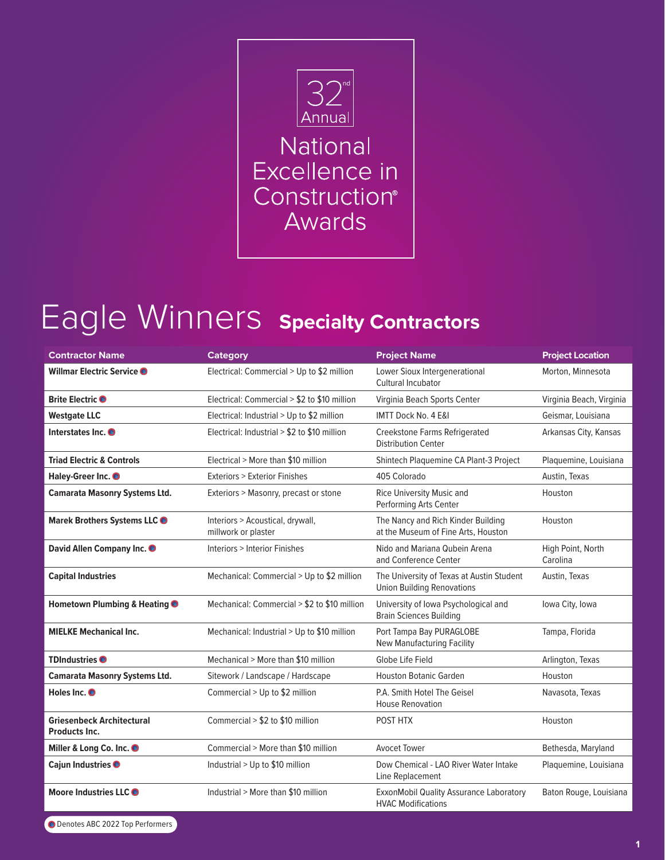

## Eagle Winners **Specialty Contractors**

| <b>Contractor Name</b>                            | <b>Category</b>                                         | <b>Project Name</b>                                                            | <b>Project Location</b>       |
|---------------------------------------------------|---------------------------------------------------------|--------------------------------------------------------------------------------|-------------------------------|
| Willmar Electric Service O                        | Electrical: Commercial > Up to \$2 million              | Lower Sioux Intergenerational<br>Cultural Incubator                            | Morton, Minnesota             |
| Brite Electric <sup>O</sup>                       | Electrical: Commercial > \$2 to \$10 million            | Virginia Beach Sports Center                                                   | Virginia Beach, Virginia      |
| <b>Westgate LLC</b>                               | Electrical: Industrial > Up to \$2 million              | IMTT Dock No. 4 E&I                                                            | Geismar, Louisiana            |
| Interstates Inc. O                                | Electrical: Industrial > \$2 to \$10 million            | Creekstone Farms Refrigerated<br><b>Distribution Center</b>                    | Arkansas City, Kansas         |
| <b>Triad Electric &amp; Controls</b>              | Electrical > More than \$10 million                     | Shintech Plaquemine CA Plant-3 Project                                         | Plaquemine, Louisiana         |
| Haley-Greer Inc. <sup>O</sup>                     | <b>Exteriors &gt; Exterior Finishes</b>                 | 405 Colorado                                                                   | Austin, Texas                 |
| <b>Camarata Masonry Systems Ltd.</b>              | Exteriors > Masonry, precast or stone                   | Rice University Music and<br>Performing Arts Center                            | Houston                       |
| Marek Brothers Systems LLC <sup>O</sup>           | Interiors > Acoustical, drywall,<br>millwork or plaster | The Nancy and Rich Kinder Building<br>at the Museum of Fine Arts, Houston      | Houston                       |
| David Allen Company Inc. O                        | <b>Interiors &gt; Interior Finishes</b>                 | Nido and Mariana Qubein Arena<br>and Conference Center                         | High Point, North<br>Carolina |
| <b>Capital Industries</b>                         | Mechanical: Commercial > Up to \$2 million              | The University of Texas at Austin Student<br><b>Union Building Renovations</b> | Austin, Texas                 |
| Hometown Plumbing & Heating <sup>O</sup>          | Mechanical: Commercial > \$2 to \$10 million            | University of Iowa Psychological and<br><b>Brain Sciences Building</b>         | Iowa City, Iowa               |
| <b>MIELKE Mechanical Inc.</b>                     | Mechanical: Industrial > Up to \$10 million             | Port Tampa Bay PURAGLOBE<br>New Manufacturing Facility                         | Tampa, Florida                |
| <b>TDIndustries</b>                               | Mechanical > More than \$10 million                     | Globe Life Field                                                               | Arlington, Texas              |
| <b>Camarata Masonry Systems Ltd.</b>              | Sitework / Landscape / Hardscape                        | <b>Houston Botanic Garden</b>                                                  | Houston                       |
| Holes Inc. <sup>O</sup>                           | Commercial > Up to \$2 million                          | P.A. Smith Hotel The Geisel<br><b>House Renovation</b>                         | Navasota, Texas               |
| <b>Griesenbeck Architectural</b><br>Products Inc. | Commercial > \$2 to \$10 million                        | POST HTX                                                                       | Houston                       |
| Miller & Long Co. Inc. O                          | Commercial > More than \$10 million                     | <b>Avocet Tower</b>                                                            | Bethesda, Maryland            |
| Cajun Industries <sup>O</sup>                     | Industrial > Up to \$10 million                         | Dow Chemical - LAO River Water Intake<br>Line Replacement                      | Plaquemine, Louisiana         |
| Moore Industries LLC <sup>O</sup>                 | Industrial > More than \$10 million                     | ExxonMobil Quality Assurance Laboratory<br><b>HVAC Modifications</b>           | Baton Rouge, Louisiana        |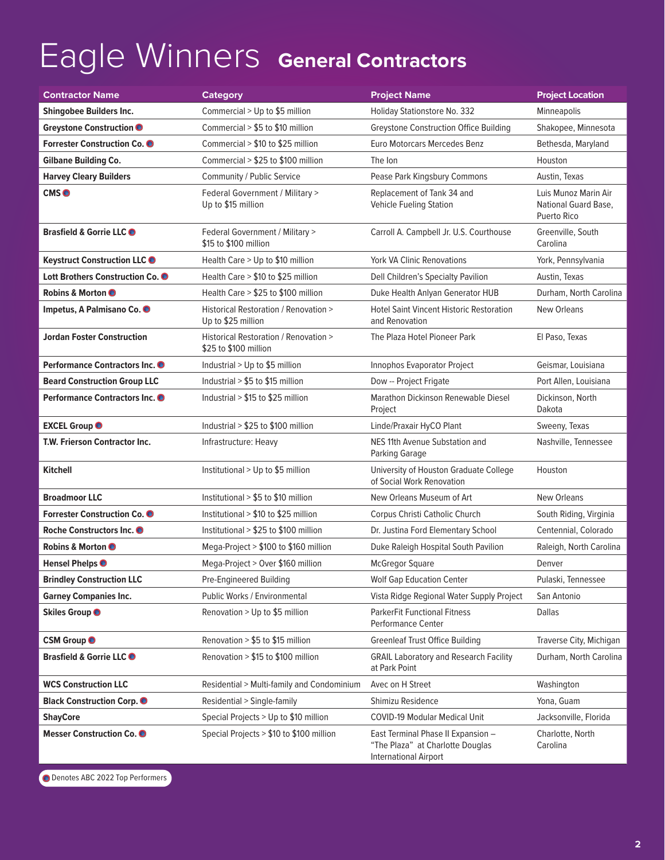## Eagle Winners **General Contractors**

| <b>Contractor Name</b>                      | <b>Category</b>                                                | <b>Project Name</b>                                                                                    | <b>Project Location</b>                                     |
|---------------------------------------------|----------------------------------------------------------------|--------------------------------------------------------------------------------------------------------|-------------------------------------------------------------|
| <b>Shingobee Builders Inc.</b>              | Commercial > Up to \$5 million                                 | Holiday Stationstore No. 332                                                                           | Minneapolis                                                 |
| Greystone Construction O                    | Commercial > \$5 to \$10 million                               | <b>Greystone Construction Office Building</b>                                                          | Shakopee, Minnesota                                         |
| Forrester Construction Co. <sup>O</sup>     | Commercial > \$10 to \$25 million                              | Euro Motorcars Mercedes Benz                                                                           | Bethesda, Maryland                                          |
| <b>Gilbane Building Co.</b>                 | Commercial > \$25 to \$100 million                             | The Ion                                                                                                | Houston                                                     |
| <b>Harvey Cleary Builders</b>               | Community / Public Service                                     | Pease Park Kingsbury Commons                                                                           | Austin, Texas                                               |
| CMS <sup>O</sup>                            | Federal Government / Military ><br>Up to \$15 million          | Replacement of Tank 34 and<br><b>Vehicle Fueling Station</b>                                           | Luis Munoz Marin Air<br>National Guard Base,<br>Puerto Rico |
| Brasfield & Gorrie LLC O                    | Federal Government / Military ><br>\$15 to \$100 million       | Carroll A. Campbell Jr. U.S. Courthouse                                                                | Greenville, South<br>Carolina                               |
| <b>Keystruct Construction LLC O</b>         | Health Care > Up to \$10 million                               | <b>York VA Clinic Renovations</b>                                                                      | York, Pennsylvania                                          |
| Lott Brothers Construction Co. <sup>6</sup> | Health Care > \$10 to \$25 million                             | Dell Children's Specialty Pavilion                                                                     | Austin, Texas                                               |
| <b>Robins &amp; Morton ●</b>                | Health Care > \$25 to \$100 million                            | Duke Health Anlyan Generator HUB                                                                       | Durham, North Carolina                                      |
| Impetus, A Palmisano Co. ·                  | Historical Restoration / Renovation ><br>Up to \$25 million    | <b>Hotel Saint Vincent Historic Restoration</b><br>and Renovation                                      | New Orleans                                                 |
| <b>Jordan Foster Construction</b>           | Historical Restoration / Renovation ><br>\$25 to \$100 million | The Plaza Hotel Pioneer Park                                                                           | El Paso, Texas                                              |
| Performance Contractors Inc. O              | Industrial > Up to \$5 million                                 | Innophos Evaporator Project                                                                            | Geismar, Louisiana                                          |
| <b>Beard Construction Group LLC</b>         | Industrial > \$5 to \$15 million                               | Dow -- Project Frigate                                                                                 | Port Allen, Louisiana                                       |
| Performance Contractors Inc. O              | Industrial > \$15 to \$25 million                              | Marathon Dickinson Renewable Diesel<br>Project                                                         | Dickinson, North<br>Dakota                                  |
| <b>EXCEL Group</b>                          | Industrial > \$25 to \$100 million                             | Linde/Praxair HyCO Plant                                                                               | Sweeny, Texas                                               |
| T.W. Frierson Contractor Inc.               | Infrastructure: Heavy                                          | NES 11th Avenue Substation and<br>Parking Garage                                                       | Nashville, Tennessee                                        |
| <b>Kitchell</b>                             | Institutional > Up to \$5 million                              | University of Houston Graduate College<br>of Social Work Renovation                                    | Houston                                                     |
| <b>Broadmoor LLC</b>                        | Institutional > \$5 to \$10 million                            | New Orleans Museum of Art                                                                              | New Orleans                                                 |
| Forrester Construction Co. O                | Institutional > \$10 to \$25 million                           | Corpus Christi Catholic Church                                                                         | South Riding, Virginia                                      |
| Roche Constructors Inc. O                   | Institutional > \$25 to \$100 million                          | Dr. Justina Ford Elementary School                                                                     | Centennial, Colorado                                        |
| <b>Robins &amp; Morton ●</b>                | Mega-Project > \$100 to \$160 million                          | Duke Raleigh Hospital South Pavilion                                                                   | Raleigh, North Carolina                                     |
| Hensel Phelps <sup>O</sup>                  | Mega-Project > Over \$160 million                              | <b>McGregor Square</b>                                                                                 | Denver                                                      |
| <b>Brindley Construction LLC</b>            | Pre-Engineered Building                                        | <b>Wolf Gap Education Center</b>                                                                       | Pulaski, Tennessee                                          |
| <b>Garney Companies Inc.</b>                | Public Works / Environmental                                   | Vista Ridge Regional Water Supply Project                                                              | San Antonio                                                 |
| <b>Skiles Group ●</b>                       | Renovation > Up to \$5 million                                 | <b>ParkerFit Functional Fitness</b><br><b>Performance Center</b>                                       | <b>Dallas</b>                                               |
| <b>CSM Group ●</b>                          | Renovation > \$5 to \$15 million                               | <b>Greenleaf Trust Office Building</b>                                                                 | Traverse City, Michigan                                     |
| Brasfield & Gorrie LLC O                    | Renovation > \$15 to \$100 million                             | <b>GRAIL Laboratory and Research Facility</b><br>at Park Point                                         | Durham, North Carolina                                      |
| <b>WCS Construction LLC</b>                 | Residential > Multi-family and Condominium                     | Avec on H Street                                                                                       | Washington                                                  |
| <b>Black Construction Corp. O</b>           | Residential > Single-family                                    | Shimizu Residence                                                                                      | Yona, Guam                                                  |
| <b>ShayCore</b>                             | Special Projects > Up to \$10 million                          | <b>COVID-19 Modular Medical Unit</b>                                                                   | Jacksonville, Florida                                       |
| Messer Construction Co. O                   | Special Projects > \$10 to \$100 million                       | East Terminal Phase II Expansion -<br>"The Plaza" at Charlotte Douglas<br><b>International Airport</b> | Charlotte, North<br>Carolina                                |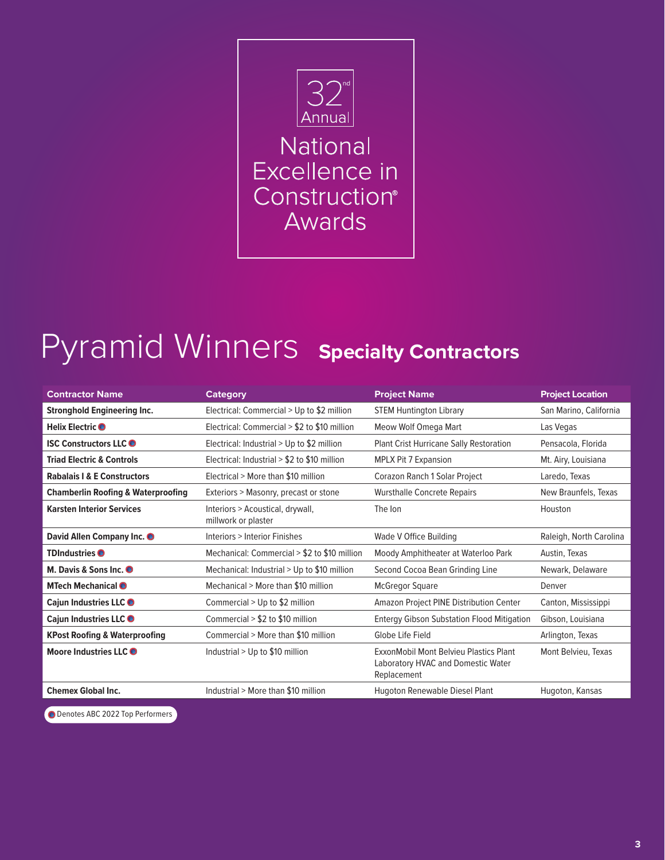

## Pyramid Winners **Specialty Contractors**

| <b>Contractor Name</b>                        | <b>Category</b>                                         | <b>Project Name</b>                                                                         | <b>Project Location</b> |
|-----------------------------------------------|---------------------------------------------------------|---------------------------------------------------------------------------------------------|-------------------------|
| <b>Stronghold Engineering Inc.</b>            | Electrical: Commercial > Up to \$2 million              | <b>STEM Huntington Library</b>                                                              | San Marino, California  |
| Helix Electric <b>O</b>                       | Electrical: Commercial > \$2 to \$10 million            | Meow Wolf Omega Mart                                                                        | Las Vegas               |
| <b>ISC Constructors LLCO</b>                  | Electrical: Industrial $>$ Up to \$2 million            | <b>Plant Crist Hurricane Sally Restoration</b>                                              | Pensacola, Florida      |
| <b>Triad Electric &amp; Controls</b>          | Electrical: Industrial > \$2 to \$10 million            | <b>MPLX Pit 7 Expansion</b>                                                                 | Mt. Airy, Louisiana     |
| <b>Rabalais   &amp; E Constructors</b>        | Electrical > More than \$10 million                     | Corazon Ranch 1 Solar Project                                                               | Laredo, Texas           |
| <b>Chamberlin Roofing &amp; Waterproofing</b> | Exteriors > Masonry, precast or stone                   | <b>Wursthalle Concrete Repairs</b>                                                          | New Braunfels, Texas    |
| <b>Karsten Interior Services</b>              | Interiors > Acoustical, drywall,<br>millwork or plaster | The lon                                                                                     | Houston                 |
| David Allen Company Inc. O                    | Interiors > Interior Finishes                           | Wade V Office Building                                                                      | Raleigh, North Carolina |
| <b>TDIndustries</b>                           | Mechanical: Commercial > \$2 to \$10 million            | Moody Amphitheater at Waterloo Park                                                         | Austin, Texas           |
| M. Davis & Sons Inc. O                        | Mechanical: Industrial > Up to \$10 million             | Second Cocoa Bean Grinding Line                                                             | Newark, Delaware        |
| MTech Mechanical <sup>O</sup>                 | Mechanical > More than \$10 million                     | <b>McGregor Square</b>                                                                      | Denver                  |
| Cajun Industries LLC O                        | Commercial $>$ Up to \$2 million                        | Amazon Project PINE Distribution Center                                                     | Canton, Mississippi     |
| Cajun Industries LLC O                        | Commercial $> $2$ to \$10 million                       | <b>Entergy Gibson Substation Flood Mitigation</b>                                           | Gibson, Louisiana       |
| <b>KPost Roofing &amp; Waterproofing</b>      | Commercial > More than \$10 million                     | Globe Life Field                                                                            | Arlington, Texas        |
| Moore Industries LLC                          | Industrial > Up to \$10 million                         | ExxonMobil Mont Belvieu Plastics Plant<br>Laboratory HVAC and Domestic Water<br>Replacement | Mont Belvieu, Texas     |
| <b>Chemex Global Inc.</b>                     | Industrial > More than \$10 million                     | Hugoton Renewable Diesel Plant                                                              | Hugoton, Kansas         |

O Denotes ABC 2022 Top Performers